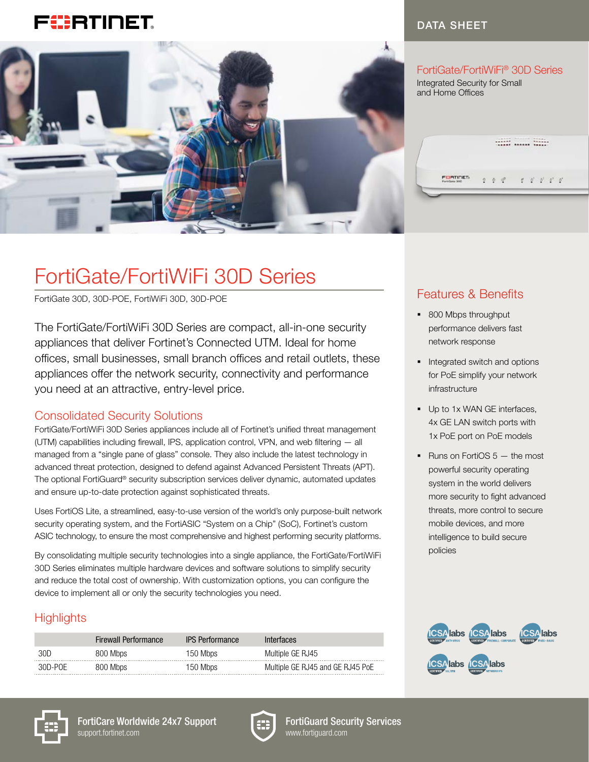# FURTINET



#### DATA SHEET

#### FortiGate/FortiWiFi® 30D Series

Integrated Security for Small and Home Offices

------<br>------ ------ ------

FORTIGET  $\mathcal{C} = \mathcal{C} = \mathcal{C} = \mathcal{C} = \mathcal{C}$  $\begin{array}{ccccc}\n\bullet & \circ^* & \end{array}$ 

# FortiGate/FortiWiFi 30D Series

FortiGate 30D, 30D-POE, FortiWiFi 30D, 30D-POE

The FortiGate/FortiWiFi 30D Series are compact, all-in-one security appliances that deliver Fortinet's Connected UTM. Ideal for home offices, small businesses, small branch offices and retail outlets, these appliances offer the network security, connectivity and performance you need at an attractive, entry-level price.

#### Consolidated Security Solutions

FortiGate/FortiWiFi 30D Series appliances include all of Fortinet's unified threat management (UTM) capabilities including firewall, IPS, application control, VPN, and web filtering — all managed from a "single pane of glass" console. They also include the latest technology in advanced threat protection, designed to defend against Advanced Persistent Threats (APT). The optional FortiGuard® security subscription services deliver dynamic, automated updates and ensure up-to-date protection against sophisticated threats.

Uses FortiOS Lite, a streamlined, easy-to-use version of the world's only purpose-built network security operating system, and the FortiASIC "System on a Chip" (SoC), Fortinet's custom ASIC technology, to ensure the most comprehensive and highest performing security platforms.

By consolidating multiple security technologies into a single appliance, the FortiGate/FortiWiFi 30D Series eliminates multiple hardware devices and software solutions to simplify security and reduce the total cost of ownership. With customization options, you can configure the device to implement all or only the security technologies you need.

## **Highlights**

|         | <b>Firewall Performance</b> | <b>IPS Performance</b> | Interfaces                       |
|---------|-----------------------------|------------------------|----------------------------------|
| 30D     | 800 Mbps                    | 150 Mbps               | Multiple GE RJ45                 |
| 30D-POE | 800 Mbps                    | 150 Mbps               | Multiple GE RJ45 and GE RJ45 PoE |







FortiGuard Security Services www.fortiguard.com

## Features & Benefits

- 800 Mbps throughput performance delivers fast network response
- Integrated switch and options for PoE simplify your network infrastructure
- Up to 1x WAN GE interfaces, 4x GE LAN switch ports with 1x PoE port on PoE models
- Runs on FortiOS  $5 -$  the most powerful security operating system in the world delivers more security to fight advanced threats, more control to secure mobile devices, and more intelligence to build secure policies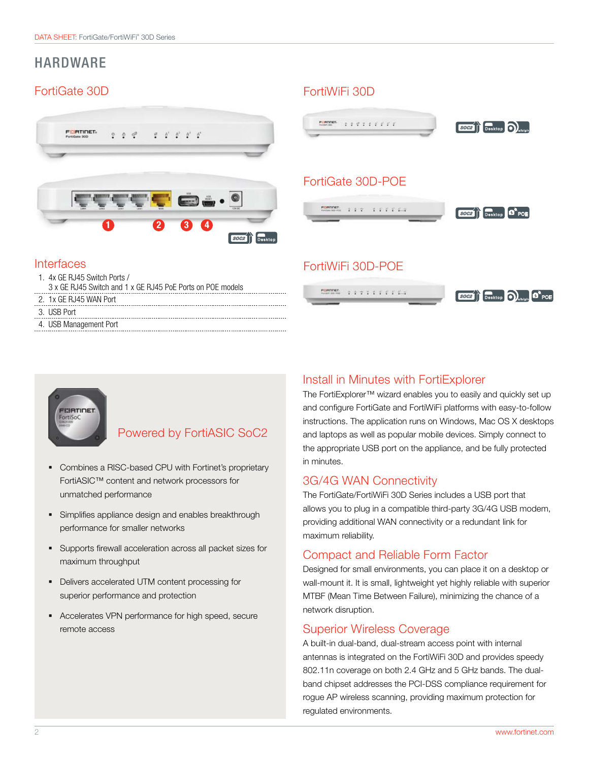## HARDWARE

## FortiGate 30D FortiWiFi 30D





4. USB Management Port

### Powered by FortiASIC SoC2

- § Combines a RISC-based CPU with Fortinet's proprietary FortiASIC™ content and network processors for unmatched performance
- Simplifies appliance design and enables breakthrough performance for smaller networks
- § Supports firewall acceleration across all packet sizes for maximum throughput
- Delivers accelerated UTM content processing for superior performance and protection
- § Accelerates VPN performance for high speed, secure remote access

#### Install in Minutes with FortiExplorer

The FortiExplorer™ wizard enables you to easily and quickly set up and configure FortiGate and FortiWiFi platforms with easy-to-follow instructions. The application runs on Windows, Mac OS X desktops and laptops as well as popular mobile devices. Simply connect to the appropriate USB port on the appliance, and be fully protected in minutes.

#### 3G/4G WAN Connectivity

The FortiGate/FortiWiFi 30D Series includes a USB port that allows you to plug in a compatible third-party 3G/4G USB modem, providing additional WAN connectivity or a redundant link for maximum reliability.

#### Compact and Reliable Form Factor

Designed for small environments, you can place it on a desktop or wall-mount it. It is small, lightweight yet highly reliable with superior MTBF (Mean Time Between Failure), minimizing the chance of a network disruption.

#### Superior Wireless Coverage

A built-in dual-band, dual-stream access point with internal antennas is integrated on the FortiWiFi 30D and provides speedy 802.11n coverage on both 2.4 GHz and 5 GHz bands. The dualband chipset addresses the PCI-DSS compliance requirement for rogue AP wireless scanning, providing maximum protection for regulated environments.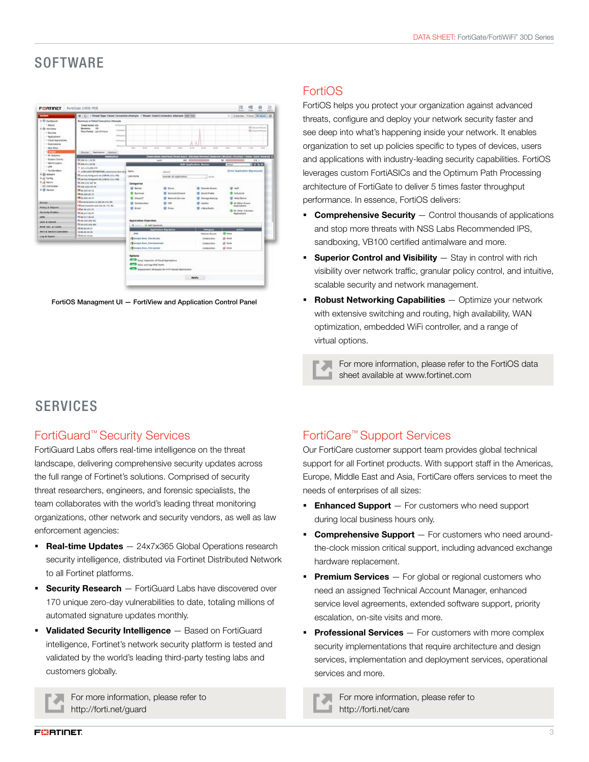## **SOFTWARE**

|                                | @   C       Threat Roac Falled Connection Attempts     Threat: Falled Connection Attempts   Ast (mar) |                                                    |                                                 |                         | 0   ENiche 1 Not 14 hors O                                                                                  |
|--------------------------------|-------------------------------------------------------------------------------------------------------|----------------------------------------------------|-------------------------------------------------|-------------------------|-------------------------------------------------------------------------------------------------------------|
| 10 bulletief                   | Summary of Falled Concretive Athenum                                                                  |                                                    |                                                 |                         |                                                                                                             |
| 1 Bacus                        | <b>Timed books AID</b><br>--                                                                          |                                                    |                                                 |                         |                                                                                                             |
| in this resonance              | Bookers, 188<br><b>State</b>                                                                          |                                                    |                                                 |                         | <b>IX Summer Hillsman</b><br><b>DE Insuran Anniver</b>                                                      |
| $-1$ Deuries                   | <b>True Facture: Last U415xx5.</b>                                                                    |                                                    |                                                 |                         |                                                                                                             |
| · Applications                 | 10 Street                                                                                             |                                                    |                                                 |                         |                                                                                                             |
| - 1 Calval Associatements      | <b>In four a</b>                                                                                      |                                                    |                                                 |                         |                                                                                                             |
| + Sustinations                 |                                                                                                       |                                                    |                                                 |                         |                                                                                                             |
| - <b>Reck Stine</b>            |                                                                                                       | <b>HERE</b><br>--                                  | All and<br>-<br>$\sim$                          | $-46$<br>-<br>-         | $10 - 10$<br>-<br>$-1$<br>-                                                                                 |
|                                | Some Detroites Section                                                                                |                                                    |                                                 |                         |                                                                                                             |
| - Hd Engineers                 | Deathsalton                                                                                           |                                                    |                                                 |                         | Cristian Stierface (Treat Score   Difution/Allywort   Deserors (Woches/Allcores) - Ryles (Sent/ Receive) (L |
| 1 Separa Crento                | <b>Bill and an inch die</b>                                                                           |                                                    | <b>NO. 13</b><br>$n = 11$                       |                         | 46 11<br>28.5.                                                                                              |
| - Agent Liquid<br><b>COMPA</b> | <b>REGISTALIZER</b>                                                                                   |                                                    |                                                 | Edit Application Server | 0.55<br><b>Africa</b>                                                                                       |
| -+ Partitionships              | <b>KALLIGANAM</b>                                                                                     |                                                    |                                                 |                         |                                                                                                             |
| # El wtwo's                    | # additional Chevrolet communication of p. Terror                                                     |                                                    | <b>Autour</b>                                   |                         | (View Aspitables Significant)                                                                               |
| <b><i><i>Carto</i></i></b>     | <b>Rivervia, Nelsquerit nel 2008 NL 212, 1942</b>                                                     | CARINING                                           | <b>PAPINE M ANDFURNAL</b>                       | $2 \times 10$           |                                                                                                             |
| <b>Kulk Advise</b>             | THE AMERICAN PHOTOGRAPHS, FIND CASE CASE AND A RESIDENCE.                                             |                                                    |                                                 |                         |                                                                                                             |
| <b>ST CHARMAN</b>              | WE 934 213 547 36                                                                                     | Categories                                         |                                                 |                         |                                                                                                             |
| <b>A 18 Hollar</b>             | <b>BC and Job set as</b>                                                                              | <b>B</b> Service                                   | <b>ID</b> Santa                                 | <b>Romeda Asiassi</b>   | MIR                                                                                                         |
|                                | THE 44 356 ALL FE<br><b>Mar Jon at H</b>                                                              | <b>G</b> Business                                  | Garwini Johannes                                | <b>Backd Moska</b>      | <b>D. Statuarana</b>                                                                                        |
|                                | THE U.S. 200, ALL 14                                                                                  |                                                    |                                                 |                         |                                                                                                             |
|                                | Hendauson is prominent.                                                                               | <b>Q</b> Claud IT                                  | <b>Between Barvine</b>                          | Disneys Barbug          | Mich. Officers                                                                                              |
| <b>Bischer</b>                 | Pleat networking to 26, 251 Bill                                                                      | Calubaration                                       | <b>POP</b>                                      | <b>Uledaful</b>         | <b>All-Dillar Kinsen</b><br>Annividuos                                                                      |
| <b>Poley &amp; Oljarto</b>     | <b>HEAV.NL101.17</b>                                                                                  | <b>IR dreat</b>                                    | Prints                                          | Visia/Auto              |                                                                                                             |
| <b>Security Probles</b>        | <b>REALISTICITY</b>                                                                                   |                                                    |                                                 |                         | <b>O</b> M Other Installeris<br>Realisations                                                                |
| <b>VIRGIN</b>                  | <b>WEBS.222.06.42</b>                                                                                 |                                                    |                                                 |                         |                                                                                                             |
|                                | <b>WI 48,100,000 MM</b>                                                                               | <b>Apartistus Countiles</b>                        |                                                 |                         |                                                                                                             |
| <b>ERAY &amp; Edward</b>       | West and lots and                                                                                     | <b>B. common CA Add Supportunity</b>               |                                                 |                         |                                                                                                             |
| MAN OUL A LACHE                | <b>ISBN 06-04-57</b>                                                                                  |                                                    |                                                 |                         | <b>Action</b>                                                                                               |
| <b>WITH A DWIGHT CONTINUES</b> | <b>GENERAL MAINS</b>                                                                                  | <b>Audiomina Symmetre</b><br><b>Georgeny</b>       |                                                 | O nnw                   |                                                                                                             |
| Ling & Seport.                 | <b>Illino Art Are and</b>                                                                             | <b>BAY</b>                                         |                                                 | <b>Whening Schools</b>  |                                                                                                             |
|                                |                                                                                                       | <b>CE GASES BACK, FOR ACCORD</b>                   |                                                 | Colleboration           | AC INNS                                                                                                     |
|                                |                                                                                                       | <b>/6</b> George Boss, File Glassical              |                                                 | Colaboration            | di trock                                                                                                    |
|                                |                                                                                                       | of Geogle Bock, File Lanuar                        |                                                 | Gristorina              | di son                                                                                                      |
|                                |                                                                                                       |                                                    |                                                 |                         |                                                                                                             |
|                                |                                                                                                       | Outlook                                            |                                                 |                         |                                                                                                             |
|                                |                                                                                                       | <b>RETAIN</b> Ones Interested of Cloud Approachers |                                                 |                         |                                                                                                             |
|                                |                                                                                                       | <b>COLLE</b> Allow will Leg (TAS Buffy)            |                                                 |                         |                                                                                                             |
|                                |                                                                                                       |                                                    | Analyzement Personal for HTTP based Approximate |                         |                                                                                                             |
|                                |                                                                                                       |                                                    |                                                 |                         |                                                                                                             |
|                                |                                                                                                       | Apply.                                             |                                                 |                         |                                                                                                             |
|                                |                                                                                                       |                                                    |                                                 |                         |                                                                                                             |

FortiOS Managment UI — FortiView and Application Control Panel

#### FortiOS

FortiOS helps you protect your organization against advanced threats, configure and deploy your network security faster and see deep into what's happening inside your network. It enables organization to set up policies specific to types of devices, users and applications with industry-leading security capabilities. FortiOS leverages custom FortiASICs and the Optimum Path Processing architecture of FortiGate to deliver 5 times faster throughput performance. In essence, FortiOS delivers:

- **Comprehensive Security**  $-$  Control thousands of applications and stop more threats with NSS Labs Recommended IPS, sandboxing, VB100 certified antimalware and more.
- **Superior Control and Visibility**  $-$  Stay in control with rich visibility over network traffic, granular policy control, and intuitive, scalable security and network management.
- **Robust Networking Capabilities** Optimize your network with extensive switching and routing, high availability, WAN optimization, embedded WiFi controller, and a range of virtual options.

For more information, please refer to the FortiOS data sheet available at www.fortinet.com

## **SERVICES**

#### FortiGuard™ Security Services

FortiGuard Labs offers real-time intelligence on the threat landscape, delivering comprehensive security updates across the full range of Fortinet's solutions. Comprised of security threat researchers, engineers, and forensic specialists, the team collaborates with the world's leading threat monitoring organizations, other network and security vendors, as well as law enforcement agencies:

- **Real-time Updates** 24x7x365 Global Operations research security intelligence, distributed via Fortinet Distributed Network to all Fortinet platforms.
- **Security Research** FortiGuard Labs have discovered over 170 unique zero-day vulnerabilities to date, totaling millions of automated signature updates monthly.
- Validated Security Intelligence Based on FortiGuard intelligence, Fortinet's network security platform is tested and validated by the world's leading third-party testing labs and customers globally.



For more information, please refer to http://forti.net/guard

#### FortiCare™ Support Services

Our FortiCare customer support team provides global technical support for all Fortinet products. With support staff in the Americas, Europe, Middle East and Asia, FortiCare offers services to meet the needs of enterprises of all sizes:

- **Enhanced Support**  $-$  For customers who need support during local business hours only.
- **Comprehensive Support** For customers who need aroundthe-clock mission critical support, including advanced exchange hardware replacement.
- **Premium Services** For global or regional customers who need an assigned Technical Account Manager, enhanced service level agreements, extended software support, priority escalation, on-site visits and more.
- **Professional Services**  $-$  For customers with more complex security implementations that require architecture and design services, implementation and deployment services, operational services and more.
	- For more information, please refer to http://forti.net/care